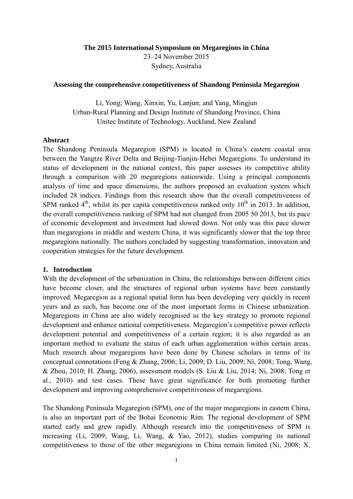**The 2015 International Symposium on Megaregions in China** 23–24 November 2015 Sydney, Australia

#### **Assessing the comprehensive competitiveness of Shandong Peninsula Megaregion**

Li, Yong; Wang, Xinxin; Yu, Lanjun; and Yang, Mingjun Urban-Rural Planning and Design Institute of Shandong Province, China Unitec Institute of Technology, Auckland, New Zealand

#### **Abstract**

The Shandong Peninsula Megaregion (SPM) is located in China's eastern coastal area between the Yangtze River Delta and Beijing-Tianjin-Hebei Megaregions. To understand its status of development in the national context, this paper assesses its competitive ability through a comparison with 20 megaregions nationwide. Using a principal components analysis of time and space dimensions, the authors proposed an evaluation system which included 28 indices. Findings from this research show that the overall competitiveness of SPM ranked  $4<sup>th</sup>$ , whilst its per capita competitiveness ranked only  $10<sup>th</sup>$  in 2013. In addition, the overall competitiveness ranking of SPM had not changed from 2005 50 2013, but its pace of economic development and investment had slowed down. Not only was this pace slower than megaregions in middle and western China, it was significantly slower that the top three megaregions nationally. The authors concluded by suggesting transformation, innovation and cooperation strategies for the future development.

#### **1. Introduction**

With the development of the urbanization in China, the relationships between different cities have become closer, and the structures of regional urban systems have been constantly improved. Megaregion as a regional spatial form has been developing very quickly in recent years and as such, has become one of the most important forms in Chinese urbanization. Megaregions in China are also widely recognised as the key strategy to promote regional development and enhance national competitiveness. Megaregion's competitive power reflects development potential and competitiveness of a certain region; it is also regarded as an important method to evaluate the status of each urban agglomeration within certain areas. Much research about megaregions have been done by Chinese scholars in terms of its conceptual connotations [\(Feng & Zhang, 2006;](#page-17-0) [Li, 2009;](#page-17-1) [D. Liu, 2009;](#page-17-2) [Ni, 2008;](#page-17-3) [Tong, Wang,](#page-17-4)  [& Zhou, 2010;](#page-17-4) [H. Zhang, 2006\)](#page-17-5), assessment models [\(S. Liu & Liu, 2014;](#page-17-6) [Ni, 2008;](#page-17-3) [Tong et](#page-17-4)  [al., 2010\)](#page-17-4) and test cases. These have great significance for both promoting further development and improving comprehensive competitiveness of megaregions.

The Shandong Peninsula Megaregion (SPM), one of the major megaregions in eastern China, is also an important part of the Bohai Economic Rim. The regional development of SPM started early and grew rapidly. Although research into the competitiveness of SPM is increasing [\(Li, 2009;](#page-17-1) [Wang, Li, Wang, & Yao, 2012\)](#page-17-7), studies comparing its national competitiveness to those of the other megaregions in China remain limited [\(Ni, 2008;](#page-17-3) [X.](#page-17-8)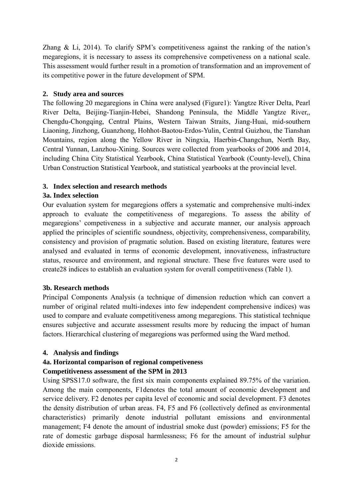[Zhang & Li, 2014\)](#page-17-8). To clarify SPM's competitiveness against the ranking of the nation's megaregions, it is necessary to assess its comprehensive competiveness on a national scale. This assessment would further result in a promotion of transformation and an improvement of its competitive power in the future development of SPM.

### **2. Study area and sources**

The following 20 megaregions in China were analysed (Figure1): Yangtze River Delta, Pearl River Delta, Beijing-Tianjin-Hebei, Shandong Peninsula, the Middle Yangtze River,, Chengdu-Chongqing, Central Plains, Western Taiwan Straits, Jiang-Huai, mid-southern Liaoning, Jinzhong, Guanzhong, Hohhot-Baotou-Erdos-Yulin, Central Guizhou, the Tianshan Mountains, region along the Yellow River in Ningxia, Haerbin-Changchun, North Bay, Central Yunnan, Lanzhou-Xining. Sources were collected from yearbooks of 2006 and 2014, including China City Statistical Yearbook, China Statistical Yearbook (County-level), China Urban Construction Statistical Yearbook, and statistical yearbooks at the provincial level.

### **3. Index selection and research methods**

### **3a. Index selection**

Our evaluation system for megaregions offers a systematic and comprehensive multi-index approach to evaluate the competitiveness of megaregions. To assess the ability of megaregions' competiveness in a subjective and accurate manner, our analysis approach applied the principles of scientific soundness, objectivity, comprehensiveness, comparability, consistency and provision of pragmatic solution. Based on existing literature, features were analysed and evaluated in terms of economic development, innovativeness, infrastructure status, resource and environment, and regional structure. These five features were used to create28 indices to establish an evaluation system for overall competitiveness (Table 1).

#### **3b. Research methods**

Principal Components Analysis (a technique of dimension reduction which can convert a number of original related multi-indexes into few independent comprehensive indices) was used to compare and evaluate competitiveness among megaregions. This statistical technique ensures subjective and accurate assessment results more by reducing the impact of human factors. Hierarchical clustering of megaregions was performed using the Ward method.

### **4. Analysis and findings**

# **4a. Horizontal comparison of regional competiveness**

#### **Competitiveness assessment of the SPM in 2013**

Using SPSS17.0 software, the first six main components explained 89.75% of the variation. Among the main components, F1denotes the total amount of economic development and service delivery. F2 denotes per capita level of economic and social development. F3 denotes the density distribution of urban areas. F4, F5 and F6 (collectively defined as environmental characteristics) primarily denote industrial pollutant emissions and environmental management; F4 denote the amount of industrial smoke dust (powder) emissions; F5 for the rate of domestic garbage disposal harmlessness; F6 for the amount of industrial sulphur dioxide emissions.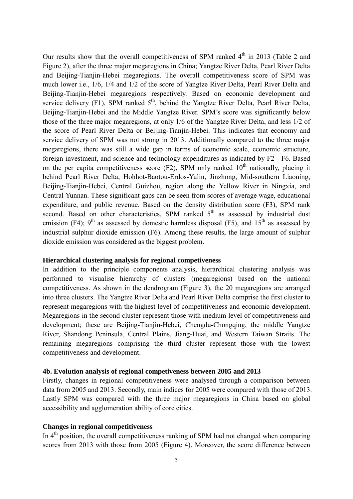Our results show that the overall competitiveness of SPM ranked  $4<sup>th</sup>$  in 2013 (Table 2 and Figure 2), after the three major megaregions in China; Yangtze River Delta, Pearl River Delta and Beijing-Tianjin-Hebei megaregions. The overall competitiveness score of SPM was much lower i.e., 1/6, 1/4 and 1/2 of the score of Yangtze River Delta, Pearl River Delta and Beijing-Tianjin-Hebei megaregions respectively. Based on economic development and service delivery (F1), SPM ranked  $5<sup>th</sup>$ , behind the Yangtze River Delta, Pearl River Delta, Beijing-Tianjin-Hebei and the Middle Yangtze River. SPM's score was significantly below those of the three major megaregions, at only 1/6 of the Yangtze River Delta, and less 1/2 of the score of Pearl River Delta or Beijing-Tianjin-Hebei. This indicates that economy and service delivery of SPM was not strong in 2013. Additionally compared to the three major megaregions, there was still a wide gap in terms of economic scale, economic structure, foreign investment, and science and technology expenditures as indicated by F2 - F6. Based on the per capita competitiveness score  $(F2)$ , SPM only ranked  $10<sup>th</sup>$  nationally, placing it behind Pearl River Delta, Hohhot-Baotou-Erdos-Yulin, Jinzhong, Mid-southern Liaoning, Beijing-Tianjin-Hebei, Central Guizhou, region along the Yellow River in Ningxia, and Central Yunnan. These significant gaps can be seen from scores of average wage, educational expenditure, and public revenue. Based on the density distribution score (F3), SPM rank second. Based on other characteristics, SPM ranked  $5<sup>th</sup>$  as assessed by industrial dust emission (F4);  $9<sup>th</sup>$  as assessed by domestic harmless disposal (F5), and  $15<sup>th</sup>$  as assessed by industrial sulphur dioxide emission (F6). Among these results, the large amount of sulphur dioxide emission was considered as the biggest problem.

#### **Hierarchical clustering analysis for regional competiveness**

In addition to the principle components analysis, hierarchical clustering analysis was performed to visualise hierarchy of clusters (megaregions) based on the national competitiveness. As shown in the dendrogram (Figure 3), the 20 megaregions are arranged into three clusters. The Yangtze River Delta and Pearl River Delta comprise the first cluster to represent megaregions with the highest level of competitiveness and economic development. Megaregions in the second cluster represent those with medium level of competitiveness and development; these are Beijing-Tianjin-Hebei, Chengdu-Chongqing, the middle Yangtze River, Shandong Peninsula, Central Plains, Jiang-Huai, and Western Taiwan Straits. The remaining megaregions comprising the third cluster represent those with the lowest competitiveness and development.

#### **4b. Evolution analysis of regional competiveness between 2005 and 2013**

Firstly, changes in regional competitiveness were analysed through a comparison between data from 2005 and 2013. Secondly, main indices for 2005 were compared with those of 2013. Lastly SPM was compared with the three major megaregions in China based on global accessibility and agglomeration ability of core cities.

## **Changes in regional competitiveness**

In 4<sup>th</sup> position, the overall competitiveness ranking of SPM had not changed when comparing scores from 2013 with those from 2005 (Figure 4). Moreover, the score difference between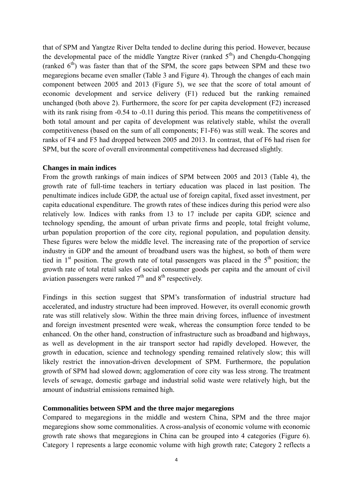that of SPM and Yangtze River Delta tended to decline during this period. However, because the developmental pace of the middle Yangtze River (ranked  $5<sup>th</sup>$ ) and Chengdu-Chongqing (ranked  $6<sup>th</sup>$ ) was faster than that of the SPM, the score gaps between SPM and these two megaregions became even smaller (Table 3 and Figure 4). Through the changes of each main component between 2005 and 2013 (Figure 5), we see that the score of total amount of economic development and service delivery (F1) reduced but the ranking remained unchanged (both above 2). Furthermore, the score for per capita development (F2) increased with its rank rising from  $-0.54$  to  $-0.11$  during this period. This means the competitiveness of both total amount and per capita of development was relatively stable, whilst the overall competitiveness (based on the sum of all components; F1-F6) was still weak. The scores and ranks of F4 and F5 had dropped between 2005 and 2013. In contrast, that of F6 had risen for SPM, but the score of overall environmental competitiveness had decreased slightly.

#### **Changes in main indices**

From the growth rankings of main indices of SPM between 2005 and 2013 (Table 4), the growth rate of full-time teachers in tertiary education was placed in last position. The penultimate indices include GDP, the actual use of foreign capital, fixed asset investment, per capita educational expenditure. The growth rates of these indices during this period were also relatively low. Indices with ranks from 13 to 17 include per capita GDP, science and technology spending, the amount of urban private firms and people, total freight volume, urban population proportion of the core city, regional population, and population density. These figures were below the middle level. The increasing rate of the proportion of service industry in GDP and the amount of broadband users was the highest, so both of them were tied in  $1<sup>st</sup>$  position. The growth rate of total passengers was placed in the  $5<sup>th</sup>$  position; the growth rate of total retail sales of social consumer goods per capita and the amount of civil aviation passengers were ranked  $7<sup>th</sup>$  and  $8<sup>th</sup>$  respectively.

Findings in this section suggest that SPM's transformation of industrial structure had accelerated, and industry structure had been improved. However, its overall economic growth rate was still relatively slow. Within the three main driving forces, influence of investment and foreign investment presented were weak, whereas the consumption force tended to be enhanced. On the other hand, construction of infrastructure such as broadband and highways, as well as development in the air transport sector had rapidly developed. However, the growth in education, science and technology spending remained relatively slow; this will likely restrict the innovation-driven development of SPM. Furthermore, the population growth of SPM had slowed down; agglomeration of core city was less strong. The treatment levels of sewage, domestic garbage and industrial solid waste were relatively high, but the amount of industrial emissions remained high.

#### **Commonalities between SPM and the three major megaregions**

Compared to megaregions in the middle and western China, SPM and the three major megaregions show some commonalities. A cross-analysis of economic volume with economic growth rate shows that megaregions in China can be grouped into 4 categories (Figure 6). Category 1 represents a large economic volume with high growth rate; Category 2 reflects a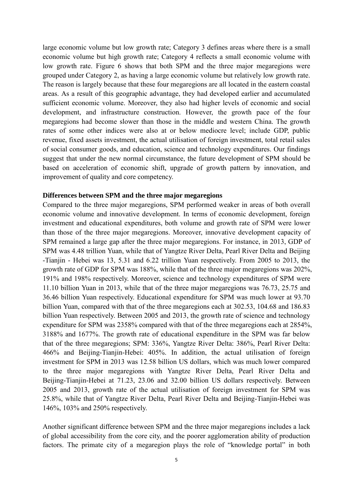large economic volume but low growth rate; Category 3 defines areas where there is a small economic volume but high growth rate; Category 4 reflects a small economic volume with low growth rate. Figure 6 shows that both SPM and the three major megaregions were grouped under Category 2, as having a large economic volume but relatively low growth rate. The reason is largely because that these four megaregions are all located in the eastern coastal areas. As a result of this geographic advantage, they had developed earlier and accumulated sufficient economic volume. Moreover, they also had higher levels of economic and social development, and infrastructure construction. However, the growth pace of the four megaregions had become slower than those in the middle and western China. The growth rates of some other indices were also at or below mediocre level; include GDP, public revenue, fixed assets investment, the actual utilisation of foreign investment, total retail sales of social consumer goods, and education, science and technology expenditures. Our findings suggest that under the new normal circumstance, the future development of SPM should be based on acceleration of economic shift, upgrade of growth pattern by innovation, and improvement of quality and core competency.

#### **Differences between SPM and the three major megaregions**

Compared to the three major megaregions, SPM performed weaker in areas of both overall economic volume and innovative development. In terms of economic development, foreign investment and educational expenditures, both volume and growth rate of SPM were lower than those of the three major megaregions. Moreover, innovative development capacity of SPM remained a large gap after the three major megaregions. For instance, in 2013, GDP of SPM was 4.48 trillion Yuan, while that of Yangtze River Delta, Pearl River Delta and Beijing -Tianjin - Hebei was 13, 5.31 and 6.22 trillion Yuan respectively. From 2005 to 2013, the growth rate of GDP for SPM was 188%, while that of the three major megaregions was 202%, 191% and 198% respectively. Moreover, science and technology expenditures of SPM were 11.10 billion Yuan in 2013, while that of the three major megaregions was 76.73, 25.75 and 36.46 billion Yuan respectively. Educational expenditure for SPM was much lower at 93.70 billion Yuan, compared with that of the three megaregions each at 302.53, 104.68 and 186.83 billion Yuan respectively. Between 2005 and 2013, the growth rate of science and technology expenditure for SPM was 2358% compared with that of the three megaregions each at 2854%, 3188% and 1677%. The growth rate of educational expenditure in the SPM was far below that of the three megaregions; SPM: 336%, Yangtze River Delta: 386%, Pearl River Delta: 466% and Beijing-Tianjin-Hebei: 405%. In addition, the actual utilisation of foreign investment for SPM in 2013 was 12.58 billion US dollars, which was much lower compared to the three major megaregions with Yangtze River Delta, Pearl River Delta and Beijing-Tianjin-Hebei at 71.23, 23.06 and 32.00 billion US dollars respectively. Between 2005 and 2013, growth rate of the actual utilisation of foreign investment for SPM was 25.8%, while that of Yangtze River Delta, Pearl River Delta and Beijing-Tianjin-Hebei was 146%, 103% and 250% respectively.

Another significant difference between SPM and the three major megaregions includes a lack of global accessibility from the core city, and the poorer agglomeration ability of production factors. The primate city of a megaregion plays the role of "knowledge portal" in both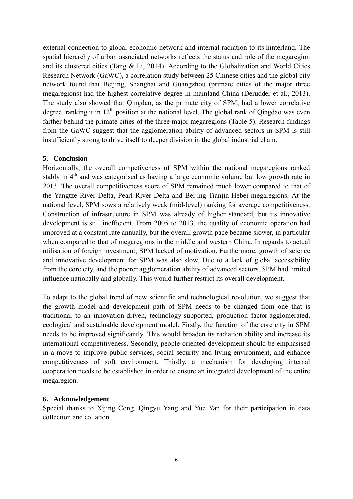external connection to global economic network and internal radiation to its hinterland. The spatial hierarchy of urban associated networks reflects the status and role of the megaregion and its clustered cities [\(Tang & Li, 2014\)](#page-17-9). According to the Globalization and World Cities Research Network (GaWC), a correlation study between 25 Chinese cities and the global city network found that Beijing, Shanghai and Guangzhou (primate cities of the major three megaregions) had the highest correlative degree in mainland China [\(Derudder et al., 2013\)](#page-17-10). The study also showed that Qingdao, as the primate city of SPM, had a lower correlative degree, ranking it in  $12<sup>th</sup>$  position at the national level. The global rank of Qingdao was even farther behind the primate cities of the three major megaregions (Table 5). Research findings from the GaWC suggest that the agglomeration ability of advanced sectors in SPM is still insufficiently strong to drive itself to deeper division in the global industrial chain.

### **5. Conclusion**

Horizontally, the overall competiveness of SPM within the national megaregions ranked stably in 4<sup>th</sup> and was categorised as having a large economic volume but low growth rate in 2013. The overall competitiveness score of SPM remained much lower compared to that of the Yangtze River Delta, Pearl River Delta and Beijing-Tianjin-Hebei megaregions. At the national level, SPM sows a relatively weak (mid-level) ranking for average competitiveness. Construction of infrastructure in SPM was already of higher standard, but its innovative development is still inefficient. From 2005 to 2013, the quality of economic operation had improved at a constant rate annually, but the overall growth pace became slower, in particular when compared to that of megaregions in the middle and western China. In regards to actual utilisation of foreign investment, SPM lacked of motivation. Furthermore, growth of science and innovative development for SPM was also slow. Due to a lack of global accessibility from the core city, and the poorer agglomeration ability of advanced sectors, SPM had limited influence nationally and globally. This would further restrict its overall development.

To adapt to the global trend of new scientific and technological revolution, we suggest that the growth model and development path of SPM needs to be changed from one that is traditional to an innovation-driven, technology-supported, production factor-agglomerated, ecological and sustainable development model. Firstly, the function of the core city in SPM needs to be improved significantly. This would broaden its radiation ability and increase its international competitiveness. Secondly, people-oriented development should be emphasised in a move to improve public services, social security and living environment, and enhance competitiveness of soft environment. Thirdly, a mechanism for developing internal cooperation needs to be established in order to ensure an integrated development of the entire megaregion.

#### **6. Acknowledgement**

Special thanks to Xijing Cong, Qingyu Yang and Yue Yan for their participation in data collection and collation.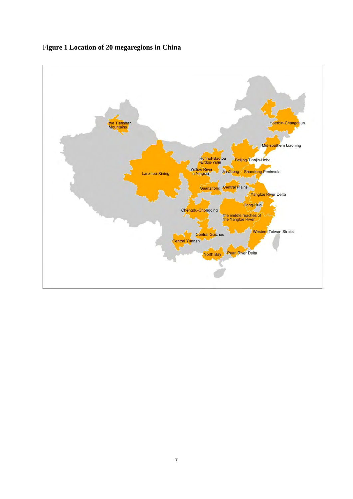

F**igure 1 Location of 20 megaregions in China**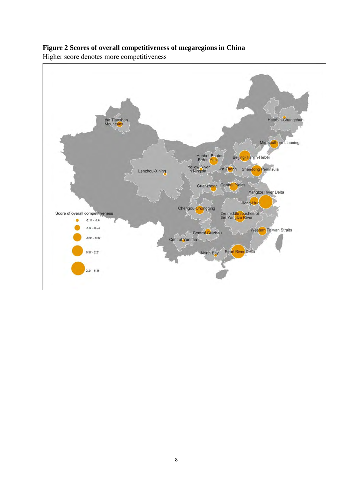

## **Figure 2 Scores of overall competitiveness of megaregions in China**

Higher score denotes more competitiveness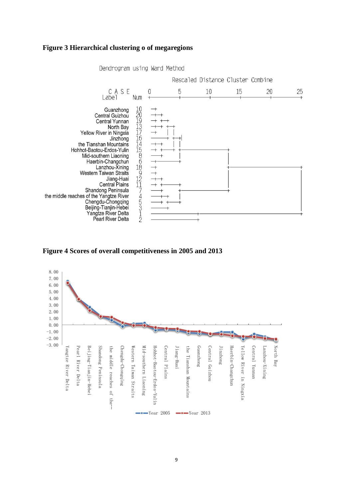#### **Figure 3 Hierarchical clustering o of megaregions**



Dendrogram using Ward Method



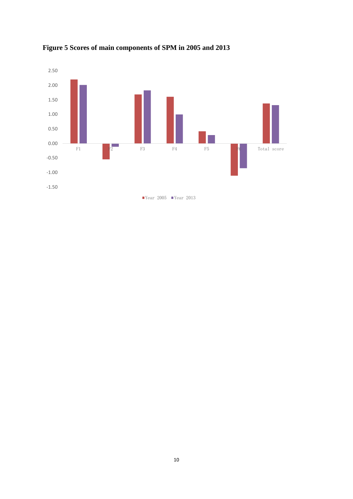

**Figure 5 Scores of main components of SPM in 2005 and 2013**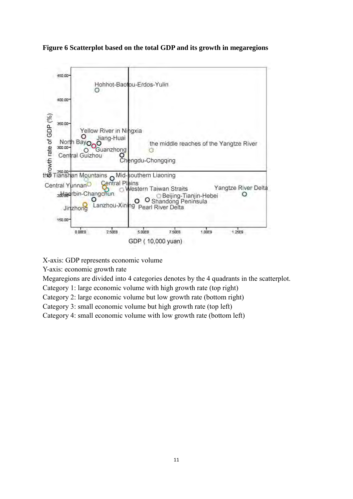**Figure 6 Scatterplot based on the total GDP and its growth in megaregions**



X-axis: GDP represents economic volume

Y-axis: economic growth rate

Megaregions are divided into 4 categories denotes by the 4 quadrants in the scatterplot.

Category 1: large economic volume with high growth rate (top right)

Category 2: large economic volume but low growth rate (bottom right)

Category 3: small economic volume but high growth rate (top left)

Category 4: small economic volume with low growth rate (bottom left)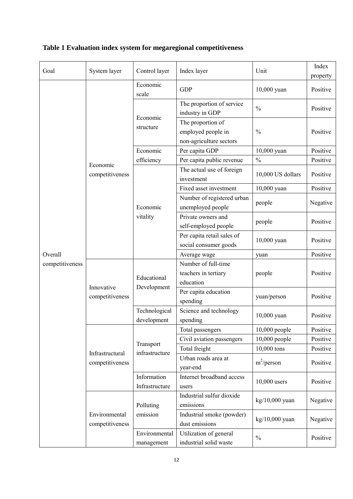| Goal                       | System layer                       | Control layer                 | Index layer                                                        | Unit              | Index<br>property |
|----------------------------|------------------------------------|-------------------------------|--------------------------------------------------------------------|-------------------|-------------------|
|                            |                                    | Economic<br>scale             | <b>GDP</b>                                                         | 10,000 yuan       | Positive          |
|                            |                                    | Economic                      | The proportion of service<br>industry in GDP                       | $\frac{0}{0}$     | Positive          |
|                            |                                    | structure                     | The proportion of<br>employed people in<br>non-agriculture sectors | $\frac{0}{0}$     | Positive          |
|                            |                                    | Economic                      | Per capita GDP                                                     | 10,000 yuan       | Positive          |
|                            |                                    | efficiency                    | Per capita public revenue                                          | $\frac{0}{0}$     | Positive          |
|                            | Economic<br>competitiveness        |                               | The actual use of foreign<br>investment                            | 10,000 US dollars | Positive          |
|                            |                                    |                               | Fixed asset investment                                             | 10,000 yuan       | Positive          |
|                            |                                    | Economic<br>vitality          | Number of registered urban<br>unemployed people                    | people            | Negative          |
|                            |                                    |                               | Private owners and<br>self-employed people                         | people            | Positive          |
| Overall<br>competitiveness |                                    |                               | Per capita retail sales of<br>social consumer goods                | 10,000 yuan       | Positive          |
|                            |                                    |                               | Average wage                                                       | yuan              | Positive          |
|                            | Innovative<br>competitiveness      | Educational<br>Development    | Number of full-time                                                |                   |                   |
|                            |                                    |                               | teachers in tertiary<br>education                                  | people            | Positive          |
|                            |                                    |                               | Per capita education<br>spending                                   | yuan/person       | Positive          |
|                            |                                    | Technological<br>development  | Science and technology<br>spending                                 | 10,000 yuan       | Positive          |
|                            | Infrastructural<br>competitiveness |                               | Total passengers                                                   | 10,000 people     | Positive          |
|                            |                                    | Transport<br>infrastructure   | Civil aviation passengers                                          | 10,000 people     | Positive          |
|                            |                                    |                               | Total freight                                                      | 10,000 tons       | Positive          |
|                            |                                    |                               | Urban roads area at<br>year-end                                    | $m^2$ /person     | Positive          |
|                            |                                    | Information<br>Infrastructure | Internet broadband access<br>users                                 | $10,000$ users    | Positive          |
|                            | Environmental<br>competitiveness   | Polluting                     | Industrial sulfur dioxide<br>emissions                             | kg/10,000 yuan    | Negative          |
|                            |                                    | emission                      | Industrial smoke (powder)<br>dust emissions                        | $kg/10,000$ yuan  | Negative          |
|                            |                                    | Environmental<br>management   | Utilization of general<br>$\frac{0}{0}$<br>industrial solid waste  |                   | Positive          |

# **Table 1 Evaluation index system for megaregional competitiveness**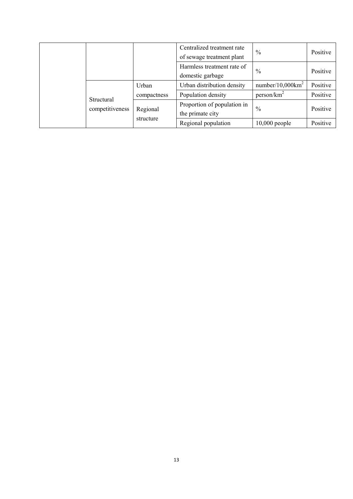|                               |                       | Centralized treatment rate<br>of sewage treatment plant | $\frac{0}{0}$          | Positive |
|-------------------------------|-----------------------|---------------------------------------------------------|------------------------|----------|
|                               |                       | Harmless treatment rate of<br>domestic garbage          | $\%$                   | Positive |
| Structural<br>competitiveness | Urban                 | Urban distribution density                              | $number/10,000km^2$    | Positive |
|                               | compactness           | Population density                                      | person/km <sup>2</sup> | Positive |
|                               | Regional<br>structure | Proportion of population in<br>the primate city         | $\%$                   | Positive |
|                               |                       | Regional population                                     | $10,000$ people        | Positive |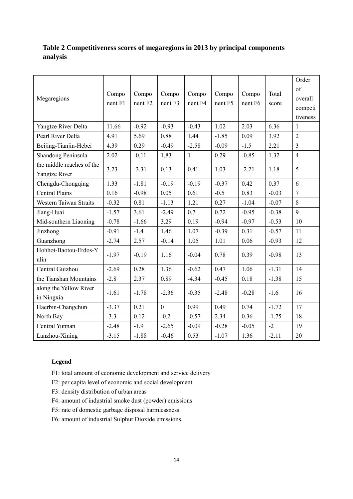## **Table 2 Competitiveness scores of megaregions in 2013 by principal components analysis**

|                           |                  |                             |                    |              |         |         |         | Order          |
|---------------------------|------------------|-----------------------------|--------------------|--------------|---------|---------|---------|----------------|
|                           | Compo<br>nent F1 | Compo<br>nent <sub>F2</sub> | Compo              | Compo        | Compo   | Compo   | Total   | of             |
| Megaregions               |                  |                             | nent <sub>F3</sub> | nent F4      | nent F5 | nent F6 | score   | overall        |
|                           |                  |                             |                    |              |         |         |         | competi        |
|                           |                  |                             |                    |              |         |         |         | tiveness       |
| Yangtze River Delta       | 11.66            | $-0.92$                     | $-0.93$            | $-0.43$      | 1.02    | 2.03    | 6.36    | $\mathbf{1}$   |
| Pearl River Delta         | 4.91             | 5.69                        | 0.88               | 1.44         | $-1.85$ | 0.09    | 3.92    | $\overline{2}$ |
| Beijing-Tianjin-Hebei     | 4.39             | 0.29                        | $-0.49$            | $-2.58$      | $-0.09$ | $-1.5$  | 2.21    | $\overline{3}$ |
| Shandong Peninsula        | 2.02             | $-0.11$                     | 1.83               | $\mathbf{1}$ | 0.29    | $-0.85$ | 1.32    | $\overline{4}$ |
| the middle reaches of the |                  |                             |                    |              |         |         |         | 5              |
| Yangtze River             | 3.23             | $-3.31$                     | 0.13               | 0.41         | 1.03    | $-2.21$ | 1.18    |                |
| Chengdu-Chongqing         | 1.33             | $-1.81$                     | $-0.19$            | $-0.19$      | $-0.37$ | 0.42    | 0.37    | 6              |
| <b>Central Plains</b>     | 0.16             | $-0.98$                     | 0.05               | 0.61         | $-0.5$  | 0.83    | $-0.03$ | $\overline{7}$ |
| Western Taiwan Straits    | $-0.32$          | 0.81                        | $-1.13$            | 1.21         | 0.27    | $-1.04$ | $-0.07$ | 8              |
| Jiang-Huai                | $-1.57$          | 3.61                        | $-2.49$            | 0.7          | 0.72    | $-0.95$ | $-0.38$ | 9              |
| Mid-southern Liaoning     | $-0.78$          | $-1.66$                     | 3.29               | 0.19         | $-0.94$ | $-0.97$ | $-0.53$ | 10             |
| Jinzhong                  | $-0.91$          | $-1.4$                      | 1.46               | 1.07         | $-0.39$ | 0.31    | $-0.57$ | 11             |
| Guanzhong                 | $-2.74$          | 2.57                        | $-0.14$            | 1.05         | 1.01    | 0.06    | $-0.93$ | 12             |
| Hohhot-Baotou-Erdos-Y     |                  |                             | 1.16               |              | 0.78    | 0.39    |         | 13             |
| ulin                      | $-1.97$          | $-0.19$                     |                    | $-0.04$      |         |         | $-0.98$ |                |
| Central Guizhou           | $-2.69$          | 0.28                        | 1.36               | $-0.62$      | 0.47    | 1.06    | $-1.31$ | 14             |
| the Tianshan Mountains    | $-2.8$           | 2.37                        | 0.89               | $-4.34$      | $-0.45$ | 0.18    | $-1.38$ | 15             |
| along the Yellow River    |                  |                             |                    |              |         |         |         |                |
| in Ningxia                | $-1.61$          | $-1.78$                     | $-2.36$            | $-0.35$      | $-2.48$ | $-0.28$ | $-1.6$  | 16             |
| Haerbin-Changchun         | $-3.37$          | 0.21                        | $\theta$           | 0.99         | 0.49    | 0.74    | $-1.72$ | 17             |
| North Bay                 | $-3.3$           | 0.12                        | $-0.2$             | $-0.57$      | 2.34    | 0.36    | $-1.75$ | 18             |
| Central Yunnan            | $-2.48$          | $-1.9$                      | $-2.65$            | $-0.09$      | $-0.28$ | $-0.05$ | $-2$    | 19             |
| Lanzhou-Xining            | $-3.15$          | $-1.88$                     | $-0.46$            | 0.53         | $-1.07$ | 1.36    | $-2.11$ | 20             |

#### **Legend**

- F1: total amount of economic development and service delivery
- F2: per capita level of economic and social development
- F3: density distribution of urban areas
- F4: amount of industrial smoke dust (powder) emissions
- F5: rate of domestic garbage disposal harmlessness
- F6: amount of industrial Sulphur Dioxide emissions.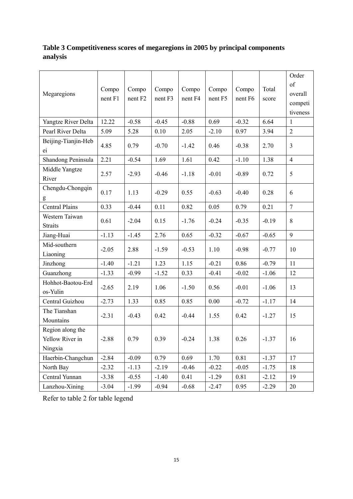## **Table 3 Competitiveness scores of megaregions in 2005 by principal components analysis**

| Megaregions                                    | Compo<br>nent F1 | Compo<br>nent <sub>F2</sub> | Compo<br>nent F3 | Compo<br>nent F4 | Compo<br>nent F5 | Compo<br>nent F6 | Total<br>score | Order<br>of<br>overall<br>competi<br>tiveness |
|------------------------------------------------|------------------|-----------------------------|------------------|------------------|------------------|------------------|----------------|-----------------------------------------------|
| Yangtze River Delta                            | 12.22            | $-0.58$                     | $-0.45$          | $-0.88$          | 0.69             | $-0.32$          | 6.64           | $\mathbf{1}$                                  |
| Pearl River Delta                              | 5.09             | 5.28                        | 0.10             | 2.05             | $-2.10$          | 0.97             | 3.94           | $\overline{2}$                                |
| Beijing-Tianjin-Heb<br>ei                      | 4.85             | 0.79                        | $-0.70$          | $-1.42$          | 0.46             | $-0.38$          | 2.70           | $\overline{3}$                                |
| Shandong Peninsula                             | 2.21             | $-0.54$                     | 1.69             | 1.61             | 0.42             | $-1.10$          | 1.38           | $\overline{4}$                                |
| Middle Yangtze<br>River                        | 2.57             | $-2.93$                     | $-0.46$          | $-1.18$          | $-0.01$          | $-0.89$          | 0.72           | 5                                             |
| Chengdu-Chongqin<br>g                          | 0.17             | 1.13                        | $-0.29$          | 0.55             | $-0.63$          | $-0.40$          | 0.28           | 6                                             |
| <b>Central Plains</b>                          | 0.33             | $-0.44$                     | 0.11             | 0.82             | 0.05             | 0.79             | 0.21           | $\overline{7}$                                |
| Western Taiwan<br><b>Straits</b>               | 0.61             | $-2.04$                     | 0.15             | $-1.76$          | $-0.24$          | $-0.35$          | $-0.19$        | 8                                             |
| Jiang-Huai                                     | $-1.13$          | $-1.45$                     | 2.76             | 0.65             | $-0.32$          | $-0.67$          | $-0.65$        | 9                                             |
| Mid-southern<br>Liaoning                       | $-2.05$          | 2.88                        | $-1.59$          | $-0.53$          | 1.10             | $-0.98$          | $-0.77$        | 10                                            |
| Jinzhong                                       | $-1.40$          | $-1.21$                     | 1.23             | 1.15             | $-0.21$          | 0.86             | $-0.79$        | 11                                            |
| Guanzhong                                      | $-1.33$          | $-0.99$                     | $-1.52$          | 0.33             | $-0.41$          | $-0.02$          | $-1.06$        | 12                                            |
| Hohhot-Baotou-Erd<br>os-Yulin                  | $-2.65$          | 2.19                        | 1.06             | $-1.50$          | 0.56             | $-0.01$          | $-1.06$        | 13                                            |
| Central Guizhou                                | $-2.73$          | 1.33                        | 0.85             | 0.85             | 0.00             | $-0.72$          | $-1.17$        | 14                                            |
| The Tianshan<br>Mountains                      | $-2.31$          | $-0.43$                     | 0.42             | $-0.44$          | 1.55             | 0.42             | $-1.27$        | 15                                            |
| Region along the<br>Yellow River in<br>Ningxia | $-2.88$          | 0.79                        | 0.39             | $-0.24$          | 1.38             | 0.26             | $-1.37$        | 16                                            |
| Haerbin-Changchun                              | $-2.84$          | $-0.09$                     | 0.79             | 0.69             | 1.70             | 0.81             | $-1.37$        | 17                                            |
| North Bay                                      | $-2.32$          | $-1.13$                     | $-2.19$          | $-0.46$          | $-0.22$          | $-0.05$          | $-1.75$        | 18                                            |
| Central Yunnan                                 | $-3.38$          | $-0.55$                     | $-1.40$          | 0.41             | $-1.29$          | 0.81             | $-2.12$        | 19                                            |
| Lanzhou-Xining                                 | $-3.04$          | $-1.99$                     | $-0.94$          | $-0.68$          | $-2.47$          | 0.95             | $-2.29$        | 20                                            |

Refer to table 2 for table legend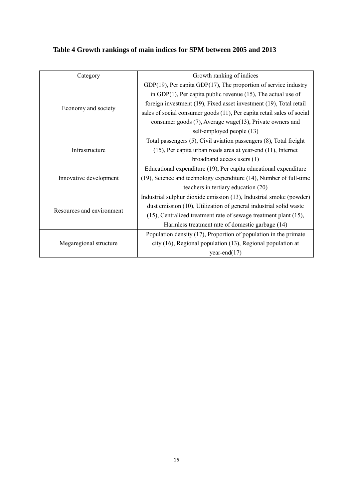## **Table 4 Growth rankings of main indices for SPM between 2005 and 2013**

| Category                  | Growth ranking of indices                                              |  |  |  |
|---------------------------|------------------------------------------------------------------------|--|--|--|
|                           | $GDP(19)$ , Per capita $GDP(17)$ , The proportion of service industry  |  |  |  |
|                           | in GDP $(1)$ , Per capita public revenue $(15)$ , The actual use of    |  |  |  |
|                           | foreign investment (19), Fixed asset investment (19), Total retail     |  |  |  |
| Economy and society       | sales of social consumer goods (11), Per capita retail sales of social |  |  |  |
|                           | consumer goods (7), Average wage(13), Private owners and               |  |  |  |
|                           | self-employed people (13)                                              |  |  |  |
|                           | Total passengers (5), Civil aviation passengers (8), Total freight     |  |  |  |
| Infrastructure            | $(15)$ , Per capita urban roads area at year-end $(11)$ , Internet     |  |  |  |
|                           | broadband access users (1)                                             |  |  |  |
|                           | Educational expenditure (19), Per capita educational expenditure       |  |  |  |
| Innovative development    | (19), Science and technology expenditure (14), Number of full-time     |  |  |  |
|                           | teachers in tertiary education (20)                                    |  |  |  |
|                           | Industrial sulphur dioxide emission (13), Industrial smoke (powder)    |  |  |  |
| Resources and environment | dust emission (10), Utilization of general industrial solid waste      |  |  |  |
|                           | (15), Centralized treatment rate of sewage treatment plant (15),       |  |  |  |
|                           | Harmless treatment rate of domestic garbage (14)                       |  |  |  |
|                           | Population density $(17)$ , Proportion of population in the primate    |  |  |  |
| Megaregional structure    | city (16), Regional population (13), Regional population at            |  |  |  |
|                           | year-end $(17)$                                                        |  |  |  |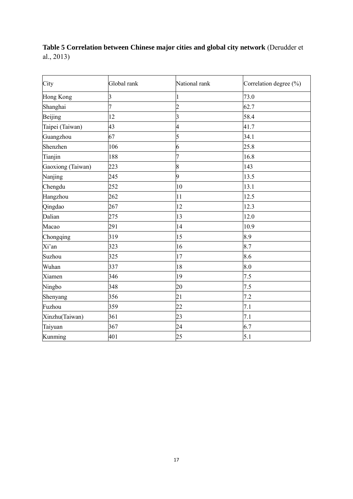## **Table 5 Correlation between Chinese major cities and global city network** [\(Derudder et](#page-17-10)  [al., 2013\)](#page-17-10)

| City              | Global rank | National rank   | Correlation degree (%) |
|-------------------|-------------|-----------------|------------------------|
| Hong Kong         | 3           |                 | 73.0                   |
| Shanghai          | 7           | $\overline{c}$  | 62.7                   |
| Beijing           | 12          | $\overline{3}$  | 58.4                   |
| Taipei (Taiwan)   | 43          | $\overline{4}$  | 41.7                   |
| Guangzhou         | 67          | 5               | 34.1                   |
| Shenzhen          | 106         | 6               | 25.8                   |
| Tianjin           | 188         | $\overline{7}$  | 16.8                   |
| Gaoxiong (Taiwan) | 223         | 8               | 143                    |
| Nanjing           | 245         | 9               | 13.5                   |
| Chengdu           | 252         | 10              | 13.1                   |
| Hangzhou          | 262         | 11              | 12.5                   |
| Qingdao           | 267         | 12              | 12.3                   |
| Dalian            | 275         | 13              | 12.0                   |
| Macao             | 291         | 14              | 10.9                   |
| Chongqing         | 319         | 15              | 8.9                    |
| Xi'an             | 323         | 16              | 8.7                    |
| Suzhou            | 325         | 17              | 8.6                    |
| Wuhan             | 337         | 18              | 8.0                    |
| Xiamen            | 346         | 19              | 7.5                    |
| Ningbo            | 348         | 20              | 7.5                    |
| Shenyang          | 356         | $\overline{21}$ | 7.2                    |
| Fuzhou            | 359         | 22              | 7.1                    |
| Xinzhu(Taiwan)    | 361         | 23              | 7.1                    |
| Taiyuan           | 367         | 24              | 6.7                    |
| Kunming           | 401         | 25              | 5.1                    |